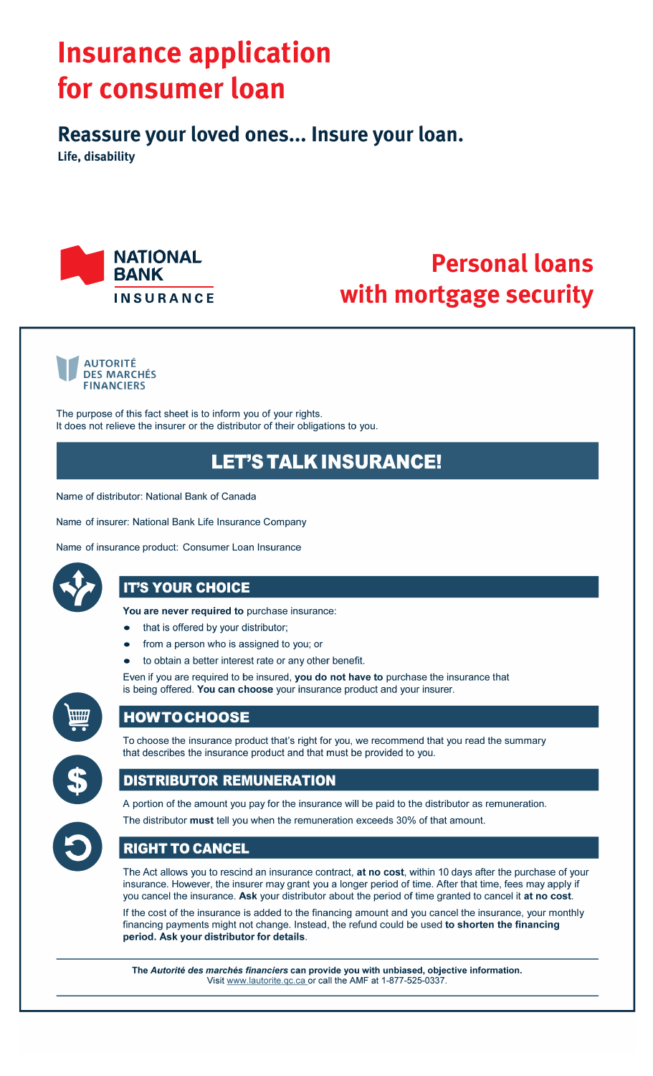# **Insurance application** for consumer loan

Reassure your loved ones... Insure your loan.

Life, disability



## **Personal loans** with mortgage security



The purpose of this fact sheet is to inform you of your rights. It does not relieve the insurer or the distributor of their obligations to you.

## **LET'S TALK INSURANCE!**

Name of distributor: National Bank of Canada

Name of insurer: National Bank Life Insurance Company

Name of insurance product: Consumer Loan Insurance



## **IT'S YOUR CHOICE**

You are never required to purchase insurance:

- that is offered by your distributor;
- from a person who is assigned to you; or
- to obtain a better interest rate or any other benefit.

Even if you are required to be insured, you do not have to purchase the insurance that is being offered. You can choose your insurance product and your insurer.



### **HOWTOCHOOSE**



To choose the insurance product that's right for you, we recommend that you read the summary that describes the insurance product and that must be provided to you.

## **DISTRIBUTOR REMUNERATION**



A portion of the amount you pay for the insurance will be paid to the distributor as remuneration. The distributor must tell you when the remuneration exceeds 30% of that amount.

### **RIGHT TO CANCEL**

The Act allows you to rescind an insurance contract, at no cost, within 10 days after the purchase of your insurance. However, the insurer may grant you a longer period of time. After that time, fees may apply if you cancel the insurance. Ask your distributor about the period of time granted to cancel it at no cost.

If the cost of the insurance is added to the financing amount and you cancel the insurance, your monthly financing payments might not change. Instead, the refund could be used to shorten the financing period. Ask your distributor for details.

The Autorité des marchés financiers can provide you with unbiased, objective information. Visit www.lautorite.qc.ca or call the AMF at 1-877-525-0337.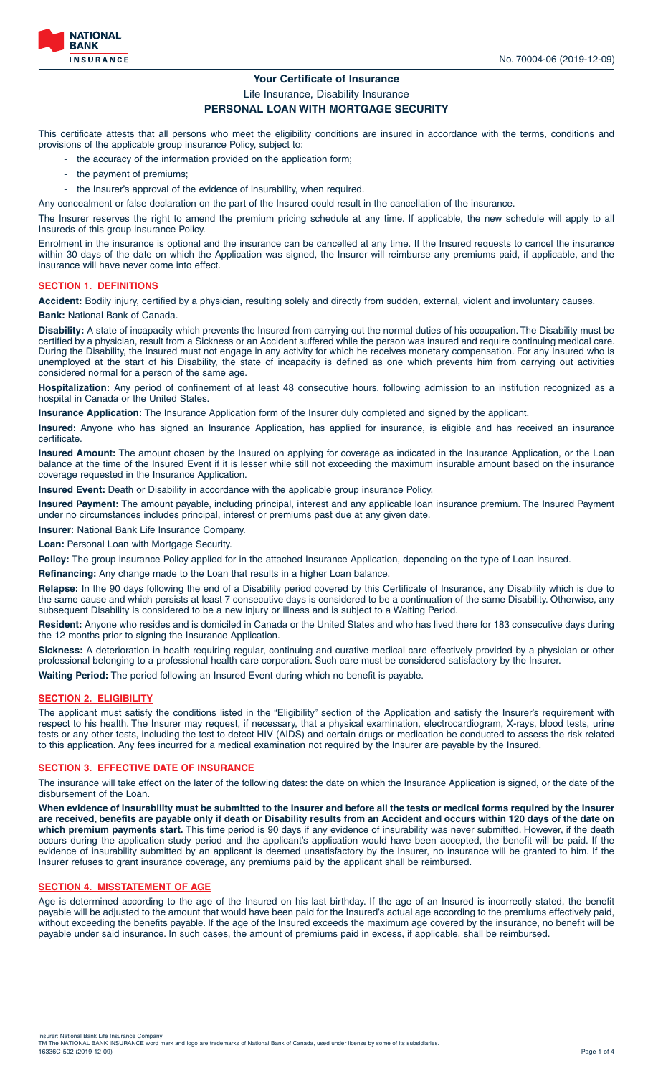

#### **Your Certificate of Insurance**

Life Insurance, Disability Insurance

#### **PERSONAL LOAN WITH MORTGAGE SECURITY**

This certificate attests that all persons who meet the eligibility conditions are insured in accordance with the terms, conditions and provisions of the applicable group insurance Policy, subject to:

- the accuracy of the information provided on the application form;
- the payment of premiums;
- the Insurer's approval of the evidence of insurability, when required.

Any concealment or false declaration on the part of the Insured could result in the cancellation of the insurance.

The Insurer reserves the right to amend the premium pricing schedule at any time. If applicable, the new schedule will apply to all Insureds of this group insurance Policy.

Enrolment in the insurance is optional and the insurance can be cancelled at any time. If the Insured requests to cancel the insurance within 30 days of the date on which the Application was signed, the Insurer will reimburse any premiums paid, if applicable, and the insurance will have never come into effect.

#### **SECTION 1. DEFINITIONS**

**Accident:** Bodily injury, certified by a physician, resulting solely and directly from sudden, external, violent and involuntary causes.

**Bank:** National Bank of Canada.

**Disability:** A state of incapacity which prevents the Insured from carrying out the normal duties of his occupation. The Disability must be certified by a physician, result from a Sickness or an Accident suffered while the person was insured and require continuing medical care. During the Disability, the Insured must not engage in any activity for which he receives monetary compensation. For any Insured who is unemployed at the start of his Disability, the state of incapacity is defined as one which prevents him from carrying out activities considered normal for a person of the same age.

**Hospitalization:** Any period of confinement of at least 48 consecutive hours, following admission to an institution recognized as a hospital in Canada or the United States.

**Insurance Application:** The Insurance Application form of the Insurer duly completed and signed by the applicant.

**Insured:** Anyone who has signed an Insurance Application, has applied for insurance, is eligible and has received an insurance certificate.

**Insured Amount:** The amount chosen by the Insured on applying for coverage as indicated in the Insurance Application, or the Loan balance at the time of the Insured Event if it is lesser while still not exceeding the maximum insurable amount based on the insurance coverage requested in the Insurance Application.

**Insured Event:** Death or Disability in accordance with the applicable group insurance Policy.

**Insured Payment:** The amount payable, including principal, interest and any applicable loan insurance premium. The Insured Payment under no circumstances includes principal, interest or premiums past due at any given date.

**Insurer:** National Bank Life Insurance Company.

Loan: Personal Loan with Mortgage Security.

Policy: The group insurance Policy applied for in the attached Insurance Application, depending on the type of Loan insured.

**Refinancing:** Any change made to the Loan that results in a higher Loan balance.

**Relapse:** In the 90 days following the end of a Disability period covered by this Certificate of Insurance, any Disability which is due to the same cause and which persists at least 7 consecutive days is considered to be a continuation of the same Disability. Otherwise, any subsequent Disability is considered to be a new injury or illness and is subject to a Waiting Period.

**Resident:** Anyone who resides and is domiciled in Canada or the United States and who has lived there for 183 consecutive days during the 12 months prior to signing the Insurance Application.

**Sickness:** A deterioration in health requiring regular, continuing and curative medical care effectively provided by a physician or other professional belonging to a professional health care corporation. Such care must be considered satisfactory by the Insurer.

**Waiting Period:** The period following an Insured Event during which no benefit is payable.

#### **SECTION 2. ELIGIBILITY**

The applicant must satisfy the conditions listed in the "Eligibility" section of the Application and satisfy the Insurer's requirement with respect to his health. The Insurer may request, if necessary, that a physical examination, electrocardiogram, X-rays, blood tests, urine tests or any other tests, including the test to detect HIV (AIDS) and certain drugs or medication be conducted to assess the risk related to this application. Any fees incurred for a medical examination not required by the Insurer are payable by the Insured.

#### **SECTION 3. EFFECTIVE DATE OF INSURANCE**

The insurance will take effect on the later of the following dates: the date on which the Insurance Application is signed, or the date of the disbursement of the Loan.

**When evidence of insurability must be submitted to the Insurer and before all the tests or medical forms required by the Insurer are received, benefits are payable only if death or Disability results from an Accident and occurs within 120 days of the date on which premium payments start.** This time period is 90 days if any evidence of insurability was never submitted. However, if the death occurs during the application study period and the applicant's application would have been accepted, the benefit will be paid. If the evidence of insurability submitted by an applicant is deemed unsatisfactory by the Insurer, no insurance will be granted to him. If the Insurer refuses to grant insurance coverage, any premiums paid by the applicant shall be reimbursed.

#### **SECTION 4. MISSTATEMENT OF AGE**

Age is determined according to the age of the Insured on his last birthday. If the age of an Insured is incorrectly stated, the benefit payable will be adjusted to the amount that would have been paid for the Insured's actual age according to the premiums effectively paid, without exceeding the benefits payable. If the age of the Insured exceeds the maximum age covered by the insurance, no benefit will be payable under said insurance. In such cases, the amount of premiums paid in excess, if applicable, shall be reimbursed.

Insurer: National Bank Life Insurance Company<br>TM The NATIONAL BANK INSURANCE word mark and logo are trademarks of National Bank of Canada, used under license by some of its subsidiaries.<br>16336C-502 (2019-12-09) Page 1 of 4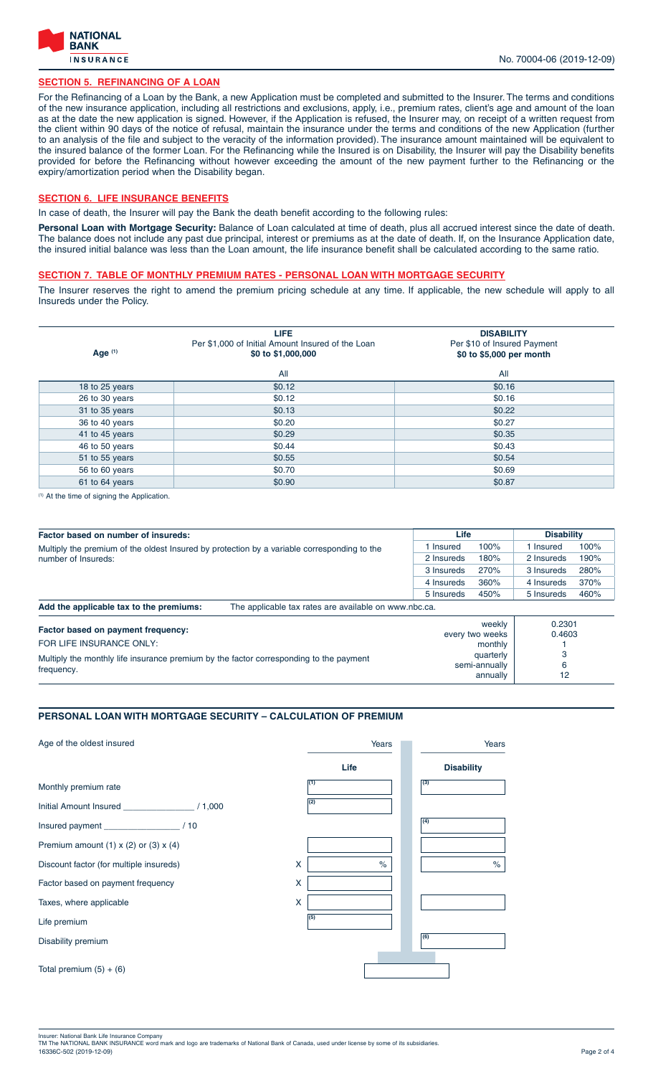

#### **SECTION 5. REFINANCING OF A LOAN**

For the Refinancing of a Loan by the Bank, a new Application must be completed and submitted to the Insurer. The terms and conditions of the new insurance application, including all restrictions and exclusions, apply, i.e., premium rates, client's age and amount of the loan as at the date the new application is signed. However, if the Application is refused, the Insurer may, on receipt of a written request from the client within 90 days of the notice of refusal, maintain the insurance under the terms and conditions of the new Application (further to an analysis of the file and subject to the veracity of the information provided). The insurance amount maintained will be equivalent to the insured balance of the former Loan. For the Refinancing while the Insured is on Disability, the Insurer will pay the Disability benefits provided for before the Refinancing without however exceeding the amount of the new payment further to the Refinancing or the expiry/amortization period when the Disability began.

#### **SECTION 6. LIFE INSURANCE BENEFITS**

In case of death, the Insurer will pay the Bank the death benefit according to the following rules:

Personal Loan with Mortgage Security: Balance of Loan calculated at time of death, plus all accrued interest since the date of death. The balance does not include any past due principal, interest or premiums as at the date of death. If, on the Insurance Application date, the insured initial balance was less than the Loan amount, the life insurance benefit shall be calculated according to the same ratio.

#### **SECTION 7. TABLE OF MONTHLY PREMIUM RATES - PERSONAL LOAN WITH MORTGAGE SECURITY**

The Insurer reserves the right to amend the premium pricing schedule at any time. If applicable, the new schedule will apply to all Insureds under the Policy.

| Age (1)        | <b>LIFE</b><br>Per \$1,000 of Initial Amount Insured of the Loan<br>\$0 to \$1,000,000 | <b>DISABILITY</b><br>Per \$10 of Insured Payment<br>\$0 to \$5,000 per month |
|----------------|----------------------------------------------------------------------------------------|------------------------------------------------------------------------------|
|                | All                                                                                    | All                                                                          |
| 18 to 25 years | \$0.12                                                                                 | \$0.16                                                                       |
| 26 to 30 years | \$0.12                                                                                 | \$0.16                                                                       |
| 31 to 35 years | \$0.13                                                                                 | \$0.22                                                                       |
| 36 to 40 years | \$0.20                                                                                 | \$0.27                                                                       |
| 41 to 45 years | \$0.29                                                                                 | \$0.35                                                                       |
| 46 to 50 years | \$0.44                                                                                 | \$0.43                                                                       |
| 51 to 55 years | \$0.55                                                                                 | \$0.54                                                                       |
| 56 to 60 years | \$0.70                                                                                 | \$0.69                                                                       |
| 61 to 64 years | \$0.90                                                                                 | \$0.87                                                                       |

(1) At the time of signing the Application.

| Factor based on number of insureds:                                                              |  | Life            |         | <b>Disability</b> |      |
|--------------------------------------------------------------------------------------------------|--|-----------------|---------|-------------------|------|
| Multiply the premium of the oldest Insured by protection by a variable corresponding to the      |  |                 | 100%    | I Insured         | 100% |
| number of Insureds:                                                                              |  | 2 Insureds      | 180%    | 2 Insureds        | 190% |
|                                                                                                  |  | 3 Insureds      | 270%    | 3 Insureds        | 280% |
|                                                                                                  |  | 4 Insureds      | 360%    | 4 Insureds        | 370% |
|                                                                                                  |  | 5 Insureds      | 450%    | 5 Insureds        | 460% |
| Add the applicable tax to the premiums:<br>The applicable tax rates are available on www.nbc.ca. |  |                 |         |                   |      |
| Factor based on payment frequency:                                                               |  |                 | weekly  | 0.2301            |      |
|                                                                                                  |  | every two weeks |         | 0.4603            |      |
| FOR LIFE INSURANCE ONLY:                                                                         |  |                 | monthly |                   |      |

| FOR LIFE INSURANCE ONLY:                                                                             | <u>UVUIV IIVU IIUUINU</u><br>monthly   | <u>v. Tuuu</u> |
|------------------------------------------------------------------------------------------------------|----------------------------------------|----------------|
| Multiply the monthly life insurance premium by the factor corresponding to the payment<br>frequency. | quarterly<br>semi-annually<br>annually |                |

#### **PERSONAL LOAN WITH MORTGAGE SECURITY – CALCULATION OF PREMIUM**

| Age of the oldest insured                 | Years            |            | Years             |
|-------------------------------------------|------------------|------------|-------------------|
|                                           | Life             |            | <b>Disability</b> |
| Monthly premium rate                      | (1)              | $\sqrt{3}$ |                   |
|                                           | (2)              |            |                   |
|                                           |                  | (4)        |                   |
| Premium amount (1) $x$ (2) or (3) $x$ (4) |                  |            |                   |
| Discount factor (for multiple insureds)   | X<br>$\%$        |            | $\%$              |
| Factor based on payment frequency         | X                |            |                   |
| Taxes, where applicable                   | X                |            |                   |
| Life premium                              | $\overline{(5)}$ |            |                   |
| Disability premium                        |                  | (6)        |                   |
| Total premium $(5) + (6)$                 |                  |            |                   |

Insurer: National Bank Life Insurance Company<br>TM The NATIONAL BANK INSURANCE word mark and logo are trademarks of National Bank of Canada, used under license by some of its subsidiaries.<br>16336C-502 (2019-12-09) Page 2 of 4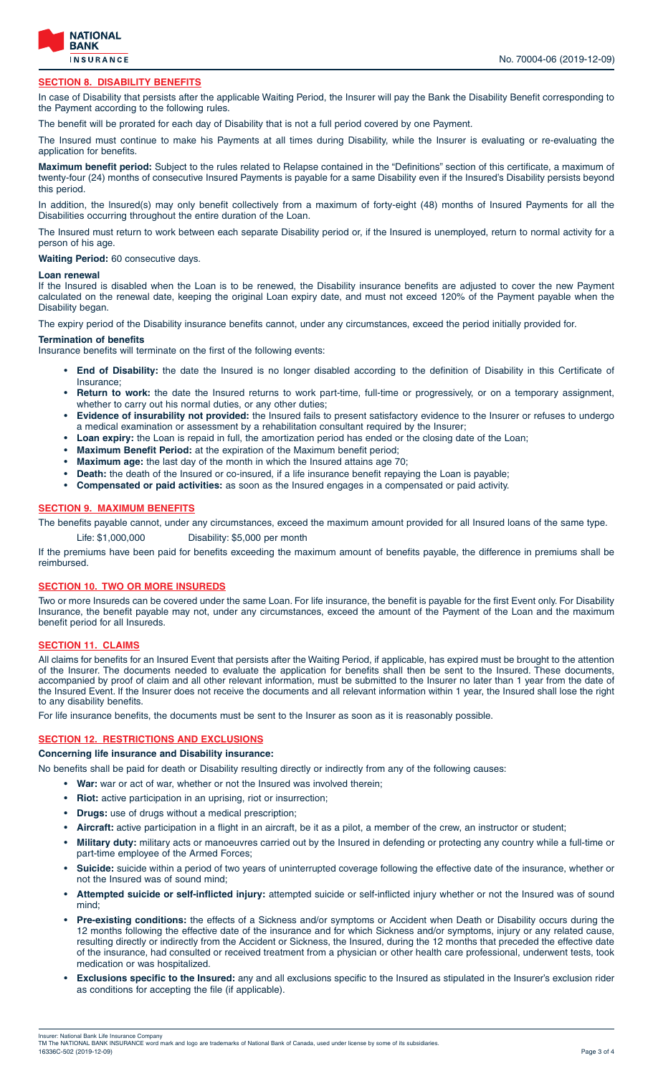

#### **SECTION 8. DISABILITY BENEFITS**

In case of Disability that persists after the applicable Waiting Period, the Insurer will pay the Bank the Disability Benefit corresponding to the Payment according to the following rules.

The benefit will be prorated for each day of Disability that is not a full period covered by one Payment.

The Insured must continue to make his Payments at all times during Disability, while the Insurer is evaluating or re-evaluating the application for benefits.

**Maximum benefit period:** Subject to the rules related to Relapse contained in the "Definitions" section of this certificate, a maximum of twenty-four (24) months of consecutive Insured Payments is payable for a same Disability even if the Insured's Disability persists beyond this period.

In addition, the Insured(s) may only benefit collectively from a maximum of forty-eight (48) months of Insured Payments for all the Disabilities occurring throughout the entire duration of the Loan.

The Insured must return to work between each separate Disability period or, if the Insured is unemployed, return to normal activity for a person of his age.

**Waiting Period:** 60 consecutive days.

#### **Loan renewal**

If the Insured is disabled when the Loan is to be renewed, the Disability insurance benefits are adjusted to cover the new Payment calculated on the renewal date, keeping the original Loan expiry date, and must not exceed 120% of the Payment payable when the Disability began.

The expiry period of the Disability insurance benefits cannot, under any circumstances, exceed the period initially provided for.

#### **Termination of benefits**

Insurance benefits will terminate on the first of the following events:

- **End of Disability:** the date the Insured is no longer disabled according to the definition of Disability in this Certificate of Insurance;
- **Return to work:** the date the Insured returns to work part-time, full-time or progressively, or on a temporary assignment, whether to carry out his normal duties, or any other duties;
- **Evidence of insurability not provided:** the Insured fails to present satisfactory evidence to the Insurer or refuses to undergo a medical examination or assessment by a rehabilitation consultant required by the Insurer;
- **Loan expiry:** the Loan is repaid in full, the amortization period has ended or the closing date of the Loan;
- **Maximum Benefit Period:** at the expiration of the Maximum benefit period;
- **Maximum age:** the last day of the month in which the Insured attains age 70;
- **Death:** the death of the Insured or co-insured, if a life insurance benefit repaying the Loan is payable;
- **Compensated or paid activities:** as soon as the Insured engages in a compensated or paid activity.

#### **SECTION 9. MAXIMUM BENEFITS**

The benefits payable cannot, under any circumstances, exceed the maximum amount provided for all Insured loans of the same type.

Life: \$1,000,000 Disability: \$5,000 per month

If the premiums have been paid for benefits exceeding the maximum amount of benefits payable, the difference in premiums shall be reimbursed.

#### **SECTION 10. TWO OR MORE INSUREDS**

Two or more Insureds can be covered under the same Loan. For life insurance, the benefit is payable for the first Event only. For Disability Insurance, the benefit payable may not, under any circumstances, exceed the amount of the Payment of the Loan and the maximum benefit period for all Insureds.

#### **SECTION 11. CLAIMS**

All claims for benefits for an Insured Event that persists after the Waiting Period, if applicable, has expired must be brought to the attention of the Insurer. The documents needed to evaluate the application for benefits shall then be sent to the Insured. These documents, accompanied by proof of claim and all other relevant information, must be submitted to the Insurer no later than 1 year from the date of the Insured Event. If the Insurer does not receive the documents and all relevant information within 1 year, the Insured shall lose the right to any disability benefits.

For life insurance benefits, the documents must be sent to the Insurer as soon as it is reasonably possible.

#### **SECTION 12. RESTRICTIONS AND EXCLUSIONS**

**Concerning life insurance and Disability insurance:**

No benefits shall be paid for death or Disability resulting directly or indirectly from any of the following causes:

- **War:** war or act of war, whether or not the Insured was involved therein;
- **Riot:** active participation in an uprising, riot or insurrection;
- **Drugs:** use of drugs without a medical prescription;
- **Aircraft:** active participation in a flight in an aircraft, be it as a pilot, a member of the crew, an instructor or student;
- **Military duty:** military acts or manoeuvres carried out by the Insured in defending or protecting any country while a full-time or part-time employee of the Armed Forces;
- **Suicide:** suicide within a period of two years of uninterrupted coverage following the effective date of the insurance, whether or not the Insured was of sound mind;
- **Attempted suicide or self-inflicted injury:** attempted suicide or self-inflicted injury whether or not the Insured was of sound mind;
- **Pre-existing conditions:** the effects of a Sickness and/or symptoms or Accident when Death or Disability occurs during the 12 months following the effective date of the insurance and for which Sickness and/or symptoms, injury or any related cause, resulting directly or indirectly from the Accident or Sickness, the Insured, during the 12 months that preceded the effective date of the insurance, had consulted or received treatment from a physician or other health care professional, underwent tests, took medication or was hospitalized.
- **Exclusions specific to the Insured:** any and all exclusions specific to the Insured as stipulated in the Insurer's exclusion rider as conditions for accepting the file (if applicable).